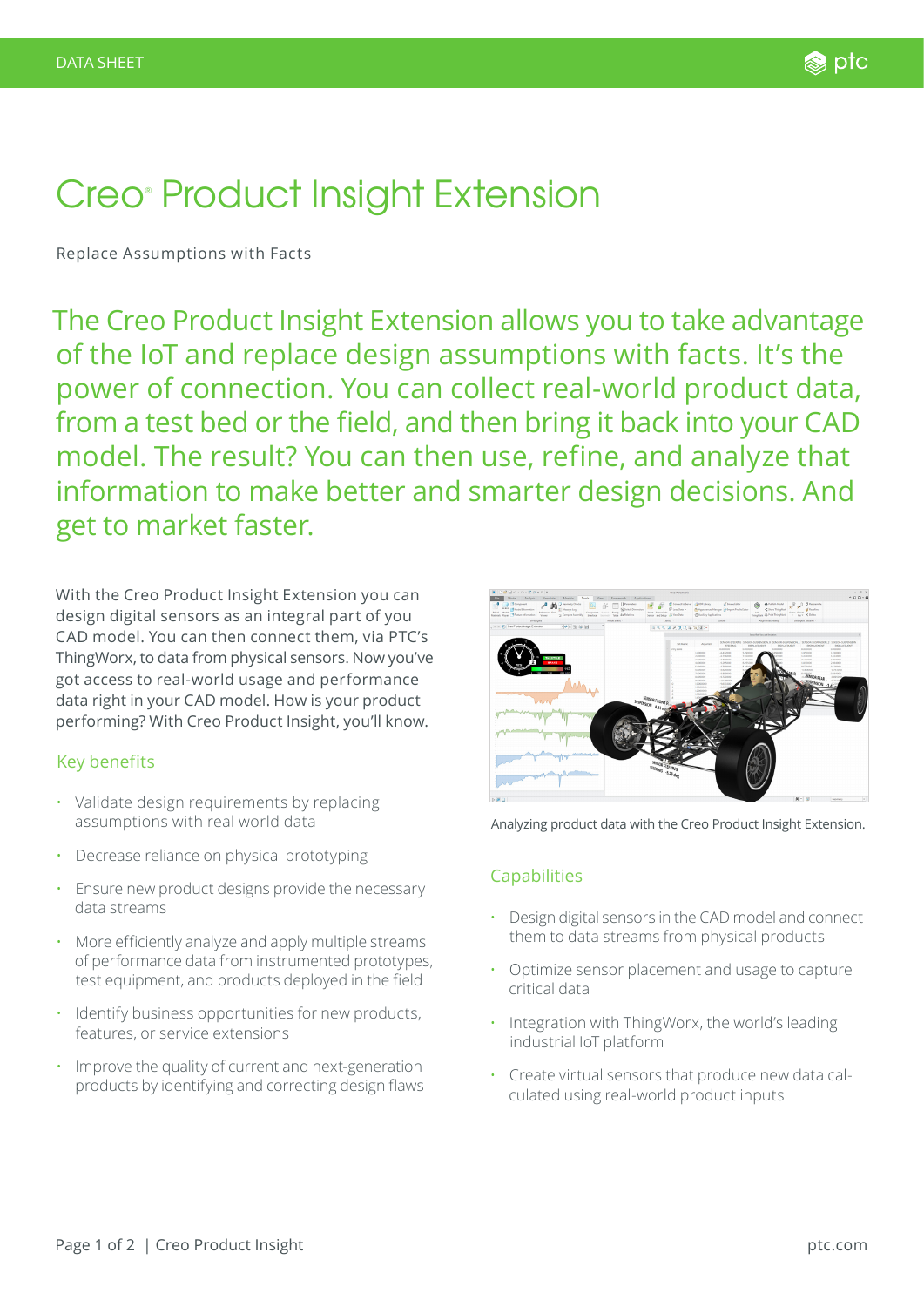# Creo<sup>®</sup> Product Insight Extension

Replace Assumptions with Facts

The Creo Product Insight Extension allows you to take advantage of the IoT and replace design assumptions with facts. It's the power of connection. You can collect real-world product data, from a test bed or the field, and then bring it back into your CAD model. The result? You can then use, refine, and analyze that information to make better and smarter design decisions. And get to market faster.

With the Creo Product Insight Extension you can design digital sensors as an integral part of you CAD model. You can then connect them, via PTC's ThingWorx, to data from physical sensors. Now you've got access to real-world usage and performance data right in your CAD model. How is your product performing? With Creo Product Insight, you'll know.

## Key benefits

- Validate design requirements by replacing assumptions with real world data
- Decrease reliance on physical prototyping
- Ensure new product designs provide the necessary data streams
- More efficiently analyze and apply multiple streams of performance data from instrumented prototypes, test equipment, and products deployed in the field
- Identify business opportunities for new products, features, or service extensions
- Improve the quality of current and next-generation products by identifying and correcting design flaws



Analyzing product data with the Creo Product Insight Extension.

## Capabilities

- Design digital sensors in the CAD model and connect them to data streams from physical products
- Optimize sensor placement and usage to capture critical data
- Integration with ThingWorx, the world's leading industrial IoT platform
- Create virtual sensors that produce new data calculated using real-world product inputs